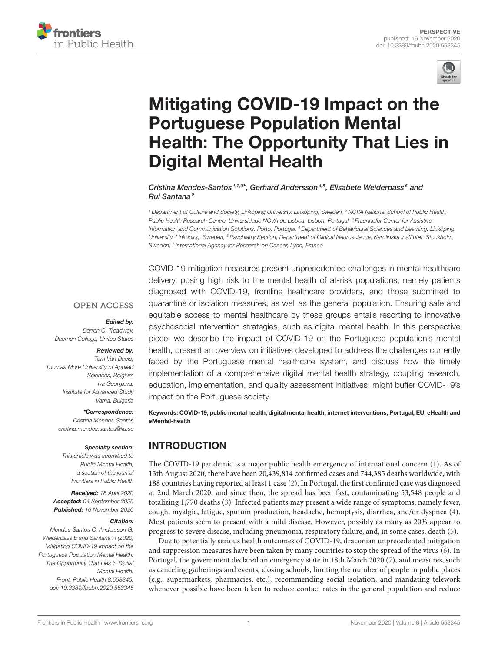



# Mitigating COVID-19 Impact on the Portuguese Population Mental [Health: The Opportunity That Lies in](https://www.frontiersin.org/articles/10.3389/fpubh.2020.553345/full) Digital Mental Health

Cristina Mendes-Santos<sup>1,2,3\*</sup>, Gerhard Andersson<sup>4,5</sup>, Elisabete Weiderpass<sup>6</sup> and Rui Santana<sup>2</sup>

<sup>1</sup> Department of Culture and Society, Linköping University, Linköping, Sweden, <sup>2</sup> NOVA National School of Public Health, Public Health Research Centre, Universidade NOVA de Lisboa, Lisbon, Portugal, <sup>3</sup> Fraunhofer Center for Assistive Information and Communication Solutions, Porto, Portugal, <sup>4</sup> Department of Behavioural Sciences and Learning, Linköping University, Linköping, Sweden, <sup>5</sup> Psychiatry Section, Department of Clinical Neuroscience, Karolinska Institutet, Stockholm, Sweden, <sup>6</sup> International Agency for Research on Cancer, Lyon, France

#### **OPEN ACCESS**

#### Edited by:

Darren C. Treadway, Daemen College, United States

### Reviewed by:

Tom Van Daele, Thomas More University of Applied Sciences, Belgium Iva Georgieva, Institute for Advanced Study Varna, Bulgaria

#### \*Correspondence:

Cristina Mendes-Santos [cristina.mendes.santos@liu.se](mailto:cristina.mendes.santos@liu.se)

#### Specialty section:

This article was submitted to Public Mental Health, a section of the journal Frontiers in Public Health

Received: 18 April 2020 Accepted: 04 September 2020 Published: 16 November 2020

#### Citation:

Mendes-Santos C, Andersson G, Weiderpass E and Santana R (2020) Mitigating COVID-19 Impact on the Portuguese Population Mental Health: The Opportunity That Lies in Digital Mental Health. Front. Public Health 8:553345. doi: [10.3389/fpubh.2020.553345](https://doi.org/10.3389/fpubh.2020.553345) COVID-19 mitigation measures present unprecedented challenges in mental healthcare delivery, posing high risk to the mental health of at-risk populations, namely patients diagnosed with COVID-19, frontline healthcare providers, and those submitted to quarantine or isolation measures, as well as the general population. Ensuring safe and equitable access to mental healthcare by these groups entails resorting to innovative psychosocial intervention strategies, such as digital mental health. In this perspective piece, we describe the impact of COVID-19 on the Portuguese population's mental health, present an overview on initiatives developed to address the challenges currently faced by the Portuguese mental healthcare system, and discuss how the timely implementation of a comprehensive digital mental health strategy, coupling research, education, implementation, and quality assessment initiatives, might buffer COVID-19's impact on the Portuguese society.

Keywords: COVID-19, public mental health, digital mental health, internet interventions, Portugal, EU, eHealth and eMental-health

## INTRODUCTION

The COVID-19 pandemic is a major public health emergency of international concern [\(1\)](#page-5-0). As of 13th August 2020, there have been 20,439,814 confirmed cases and 744,385 deaths worldwide, with 188 countries having reported at least 1 case [\(2\)](#page-5-1). In Portugal, the first confirmed case was diagnosed at 2nd March 2020, and since then, the spread has been fast, contaminating 53,548 people and totalizing 1,770 deaths [\(3\)](#page-5-2). Infected patients may present a wide range of symptoms, namely fever, cough, myalgia, fatigue, sputum production, headache, hemoptysis, diarrhea, and/or dyspnea [\(4\)](#page-5-3). Most patients seem to present with a mild disease. However, possibly as many as 20% appear to progress to severe disease, including pneumonia, respiratory failure, and, in some cases, death [\(5\)](#page-5-4).

Due to potentially serious health outcomes of COVID-19, draconian unprecedented mitigation and suppression measures have been taken by many countries to stop the spread of the virus [\(6\)](#page-5-5). In Portugal, the government declared an emergency state in 18th March 2020 [\(7\)](#page-5-6), and measures, such as canceling gatherings and events, closing schools, limiting the number of people in public places (e.g., supermarkets, pharmacies, etc.), recommending social isolation, and mandating telework whenever possible have been taken to reduce contact rates in the general population and reduce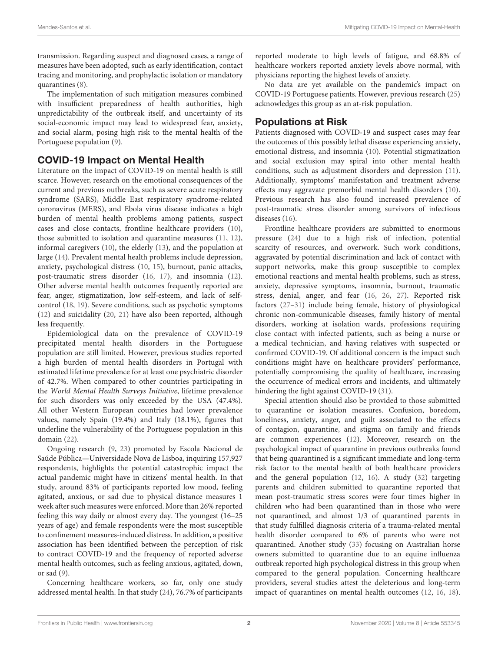transmission. Regarding suspect and diagnosed cases, a range of measures have been adopted, such as early identification, contact tracing and monitoring, and prophylactic isolation or mandatory quarantines [\(8\)](#page-5-7).

The implementation of such mitigation measures combined with insufficient preparedness of health authorities, high unpredictability of the outbreak itself, and uncertainty of its social-economic impact may lead to widespread fear, anxiety, and social alarm, posing high risk to the mental health of the Portuguese population [\(9\)](#page-5-8).

## COVID-19 Impact on Mental Health

Literature on the impact of COVID-19 on mental health is still scarce. However, research on the emotional consequences of the current and previous outbreaks, such as severe acute respiratory syndrome (SARS), Middle East respiratory syndrome-related coronavirus (MERS), and Ebola virus disease indicates a high burden of mental health problems among patients, suspect cases and close contacts, frontline healthcare providers [\(10\)](#page-5-9), those submitted to isolation and quarantine measures [\(11,](#page-5-10) [12\)](#page-5-11), informal caregivers [\(10\)](#page-5-9), the elderly [\(13\)](#page-5-12), and the population at large [\(14\)](#page-5-13). Prevalent mental health problems include depression, anxiety, psychological distress [\(10,](#page-5-9) [15\)](#page-5-14), burnout, panic attacks, post-traumatic stress disorder [\(16,](#page-5-15) [17\)](#page-5-16), and insomnia [\(12\)](#page-5-11). Other adverse mental health outcomes frequently reported are fear, anger, stigmatization, low self-esteem, and lack of selfcontrol [\(18,](#page-5-17) [19\)](#page-5-18). Severe conditions, such as psychotic symptoms [\(12\)](#page-5-11) and suicidality [\(20,](#page-5-19) [21\)](#page-5-20) have also been reported, although less frequently.

Epidemiological data on the prevalence of COVID-19 precipitated mental health disorders in the Portuguese population are still limited. However, previous studies reported a high burden of mental health disorders in Portugal with estimated lifetime prevalence for at least one psychiatric disorder of 42.7%. When compared to other countries participating in the World Mental Health Surveys Initiative, lifetime prevalence for such disorders was only exceeded by the USA (47.4%). All other Western European countries had lower prevalence values, namely Spain (19.4%) and Italy (18.1%), figures that underline the vulnerability of the Portuguese population in this domain [\(22\)](#page-5-21).

Ongoing research [\(9,](#page-5-8) [23\)](#page-5-22) promoted by Escola Nacional de Saúde Pública—Universidade Nova de Lisboa, inquiring 157,927 respondents, highlights the potential catastrophic impact the actual pandemic might have in citizens' mental health. In that study, around 83% of participants reported low mood, feeling agitated, anxious, or sad due to physical distance measures 1 week after such measures were enforced. More than 26% reported feeling this way daily or almost every day. The youngest (16–25 years of age) and female respondents were the most susceptible to confinement measures-induced distress. In addition, a positive association has been identified between the perception of risk to contract COVID-19 and the frequency of reported adverse mental health outcomes, such as feeling anxious, agitated, down, or sad [\(9\)](#page-5-8).

Concerning healthcare workers, so far, only one study addressed mental health. In that study [\(24\)](#page-5-23), 76.7% of participants reported moderate to high levels of fatigue, and 68.8% of healthcare workers reported anxiety levels above normal, with physicians reporting the highest levels of anxiety.

No data are yet available on the pandemic's impact on COVID-19 Portuguese patients. However, previous research [\(25\)](#page-5-24) acknowledges this group as an at-risk population.

# Populations at Risk

Patients diagnosed with COVID-19 and suspect cases may fear the outcomes of this possibly lethal disease experiencing anxiety, emotional distress, and insomnia [\(10\)](#page-5-9). Potential stigmatization and social exclusion may spiral into other mental health conditions, such as adjustment disorders and depression [\(11\)](#page-5-10). Additionally, symptoms' manifestation and treatment adverse effects may aggravate premorbid mental health disorders [\(10\)](#page-5-9). Previous research has also found increased prevalence of post-traumatic stress disorder among survivors of infectious diseases [\(16\)](#page-5-15).

Frontline healthcare providers are submitted to enormous pressure [\(24\)](#page-5-23) due to a high risk of infection, potential scarcity of resources, and overwork. Such work conditions, aggravated by potential discrimination and lack of contact with support networks, make this group susceptible to complex emotional reactions and mental health problems, such as stress, anxiety, depressive symptoms, insomnia, burnout, traumatic stress, denial, anger, and fear [\(16,](#page-5-15) [26,](#page-5-25) [27\)](#page-5-26). Reported risk factors [\(27](#page-5-26)[–31\)](#page-6-0) include being female, history of physiological chronic non-communicable diseases, family history of mental disorders, working at isolation wards, professions requiring close contact with infected patients, such as being a nurse or a medical technician, and having relatives with suspected or confirmed COVID-19. Of additional concern is the impact such conditions might have on healthcare providers' performance, potentially compromising the quality of healthcare, increasing the occurrence of medical errors and incidents, and ultimately hindering the fight against COVID-19 [\(31\)](#page-6-0).

Special attention should also be provided to those submitted to quarantine or isolation measures. Confusion, boredom, loneliness, anxiety, anger, and guilt associated to the effects of contagion, quarantine, and stigma on family and friends are common experiences [\(12\)](#page-5-11). Moreover, research on the psychological impact of quarantine in previous outbreaks found that being quarantined is a significant immediate and long-term risk factor to the mental health of both healthcare providers and the general population [\(12,](#page-5-11) [16\)](#page-5-15). A study [\(32\)](#page-6-1) targeting parents and children submitted to quarantine reported that mean post-traumatic stress scores were four times higher in children who had been quarantined than in those who were not quarantined, and almost 1/3 of quarantined parents in that study fulfilled diagnosis criteria of a trauma-related mental health disorder compared to 6% of parents who were not quarantined. Another study [\(33\)](#page-6-2) focusing on Australian horse owners submitted to quarantine due to an equine influenza outbreak reported high psychological distress in this group when compared to the general population. Concerning healthcare providers, several studies attest the deleterious and long-term impact of quarantines on mental health outcomes [\(12,](#page-5-11) [16,](#page-5-15) [18\)](#page-5-17).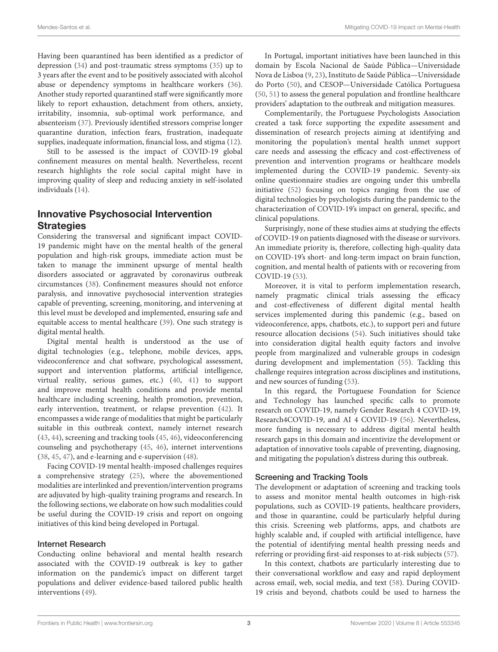Having been quarantined has been identified as a predictor of depression [\(34\)](#page-6-3) and post-traumatic stress symptoms [\(35\)](#page-6-4) up to 3 years after the event and to be positively associated with alcohol abuse or dependency symptoms in healthcare workers [\(36\)](#page-6-5). Another study reported quarantined staff were significantly more likely to report exhaustion, detachment from others, anxiety, irritability, insomnia, sub-optimal work performance, and absenteeism [\(37\)](#page-6-6). Previously identified stressors comprise longer quarantine duration, infection fears, frustration, inadequate supplies, inadequate information, financial loss, and stigma [\(12\)](#page-5-11).

Still to be assessed is the impact of COVID-19 global confinement measures on mental health. Nevertheless, recent research highlights the role social capital might have in improving quality of sleep and reducing anxiety in self-isolated individuals [\(14\)](#page-5-13).

# Innovative Psychosocial Intervention **Strategies**

Considering the transversal and significant impact COVID-19 pandemic might have on the mental health of the general population and high-risk groups, immediate action must be taken to manage the imminent upsurge of mental health disorders associated or aggravated by coronavirus outbreak circumstances [\(38\)](#page-6-7). Confinement measures should not enforce paralysis, and innovative psychosocial intervention strategies capable of preventing, screening, monitoring, and intervening at this level must be developed and implemented, ensuring safe and equitable access to mental healthcare [\(39\)](#page-6-8). One such strategy is digital mental health.

Digital mental health is understood as the use of digital technologies (e.g., telephone, mobile devices, apps, videoconference and chat software, psychological assessment, support and intervention platforms, artificial intelligence, virtual reality, serious games, etc.) [\(40,](#page-6-9) [41\)](#page-6-10) to support and improve mental health conditions and provide mental healthcare including screening, health promotion, prevention, early intervention, treatment, or relapse prevention [\(42\)](#page-6-11). It encompasses a wide range of modalities that might be particularly suitable in this outbreak context, namely internet research [\(43,](#page-6-12) [44\)](#page-6-13), screening and tracking tools [\(45,](#page-6-14) [46\)](#page-6-15), videoconferencing counseling and psychotherapy [\(45,](#page-6-14) [46\)](#page-6-15), internet interventions [\(38,](#page-6-7) [45,](#page-6-14) [47\)](#page-6-16), and e-learning and e-supervision [\(48\)](#page-6-17).

Facing COVID-19 mental health-imposed challenges requires a comprehensive strategy [\(25\)](#page-5-24), where the abovementioned modalities are interlinked and prevention/intervention programs are adjuvated by high-quality training programs and research. In the following sections, we elaborate on how such modalities could be useful during the COVID-19 crisis and report on ongoing initiatives of this kind being developed in Portugal.

#### Internet Research

Conducting online behavioral and mental health research associated with the COVID-19 outbreak is key to gather information on the pandemic's impact on different target populations and deliver evidence-based tailored public health interventions [\(49\)](#page-6-18).

In Portugal, important initiatives have been launched in this domain by Escola Nacional de Saúde Pública—Universidade Nova de Lisboa [\(9,](#page-5-8) [23\)](#page-5-22), Instituto de Saúde Pública—Universidade do Porto [\(50\)](#page-6-19), and CESOP—Universidade Católica Portuguesa [\(50,](#page-6-19) [51\)](#page-6-20) to assess the general population and frontline healthcare providers' adaptation to the outbreak and mitigation measures.

Complementarily, the Portuguese Psychologists Association created a task force supporting the expedite assessment and dissemination of research projects aiming at identifying and monitoring the population's mental health unmet support care needs and assessing the efficacy and cost-effectiveness of prevention and intervention programs or healthcare models implemented during the COVID-19 pandemic. Seventy-six online questionnaire studies are ongoing under this umbrella initiative [\(52\)](#page-6-21) focusing on topics ranging from the use of digital technologies by psychologists during the pandemic to the characterization of COVID-19's impact on general, specific, and clinical populations.

Surprisingly, none of these studies aims at studying the effects of COVID-19 on patients diagnosed with the disease or survivors. An immediate priority is, therefore, collecting high-quality data on COVID-19's short- and long-term impact on brain function, cognition, and mental health of patients with or recovering from COVID-19 [\(53\)](#page-6-22).

Moreover, it is vital to perform implementation research, namely pragmatic clinical trials assessing the efficacy and cost-effectiveness of different digital mental health services implemented during this pandemic (e.g., based on videoconference, apps, chatbots, etc.), to support peri and future resource allocation decisions [\(54\)](#page-6-23). Such initiatives should take into consideration digital health equity factors and involve people from marginalized and vulnerable groups in codesign during development and implementation [\(55\)](#page-6-24). Tackling this challenge requires integration across disciplines and institutions, and new sources of funding [\(53\)](#page-6-22).

In this regard, the Portuguese Foundation for Science and Technology has launched specific calls to promote research on COVID-19, namely Gender Research 4 COVID-19, Research4COVID-19, and AI 4 COVID-19 [\(56\)](#page-6-25). Nevertheless, more funding is necessary to address digital mental health research gaps in this domain and incentivize the development or adaptation of innovative tools capable of preventing, diagnosing, and mitigating the population's distress during this outbreak.

## Screening and Tracking Tools

The development or adaptation of screening and tracking tools to assess and monitor mental health outcomes in high-risk populations, such as COVID-19 patients, healthcare providers, and those in quarantine, could be particularly helpful during this crisis. Screening web platforms, apps, and chatbots are highly scalable and, if coupled with artificial intelligence, have the potential of identifying mental health pressing needs and referring or providing first-aid responses to at-risk subjects [\(57\)](#page-6-26).

In this context, chatbots are particularly interesting due to their conversational workflow and easy and rapid deployment across email, web, social media, and text [\(58\)](#page-6-27). During COVID-19 crisis and beyond, chatbots could be used to harness the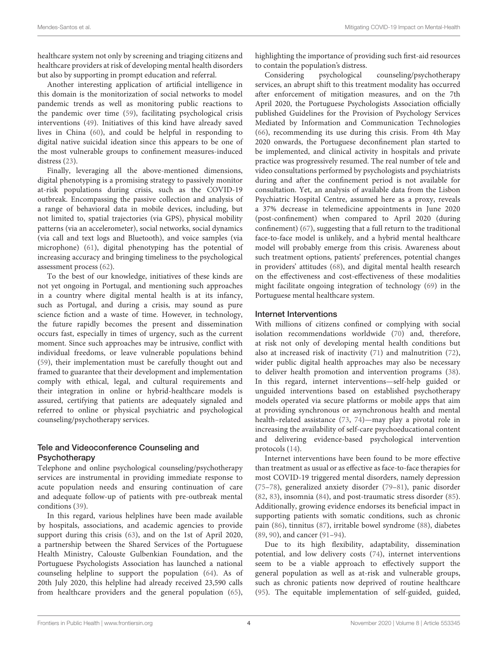healthcare system not only by screening and triaging citizens and healthcare providers at risk of developing mental health disorders but also by supporting in prompt education and referral.

Another interesting application of artificial intelligence in this domain is the monitorization of social networks to model pandemic trends as well as monitoring public reactions to the pandemic over time [\(59\)](#page-6-28), facilitating psychological crisis interventions [\(49\)](#page-6-18). Initiatives of this kind have already saved lives in China [\(60\)](#page-6-29), and could be helpful in responding to digital native suicidal ideation since this appears to be one of the most vulnerable groups to confinement measures-induced distress [\(23\)](#page-5-22).

Finally, leveraging all the above-mentioned dimensions, digital phenotyping is a promising strategy to passively monitor at-risk populations during crisis, such as the COVID-19 outbreak. Encompassing the passive collection and analysis of a range of behavioral data in mobile devices, including, but not limited to, spatial trajectories (via GPS), physical mobility patterns (via an accelerometer), social networks, social dynamics (via call and text logs and Bluetooth), and voice samples (via microphone) [\(61\)](#page-6-30), digital phenotyping has the potential of increasing accuracy and bringing timeliness to the psychological assessment process [\(62\)](#page-6-31).

To the best of our knowledge, initiatives of these kinds are not yet ongoing in Portugal, and mentioning such approaches in a country where digital mental health is at its infancy, such as Portugal, and during a crisis, may sound as pure science fiction and a waste of time. However, in technology, the future rapidly becomes the present and dissemination occurs fast, especially in times of urgency, such as the current moment. Since such approaches may be intrusive, conflict with individual freedoms, or leave vulnerable populations behind [\(59\)](#page-6-28), their implementation must be carefully thought out and framed to guarantee that their development and implementation comply with ethical, legal, and cultural requirements and their integration in online or hybrid-healthcare models is assured, certifying that patients are adequately signaled and referred to online or physical psychiatric and psychological counseling/psychotherapy services.

### Tele and Videoconference Counseling and Psychotherapy

Telephone and online psychological counseling/psychotherapy services are instrumental in providing immediate response to acute population needs and ensuring continuation of care and adequate follow-up of patients with pre-outbreak mental conditions [\(39\)](#page-6-8).

In this regard, various helplines have been made available by hospitals, associations, and academic agencies to provide support during this crisis [\(63\)](#page-6-32), and on the 1st of April 2020, a partnership between the Shared Services of the Portuguese Health Ministry, Calouste Gulbenkian Foundation, and the Portuguese Psychologists Association has launched a national counseling helpline to support the population [\(64\)](#page-6-33). As of 20th July 2020, this helpline had already received 23,590 calls from healthcare providers and the general population [\(65\)](#page-6-34), highlighting the importance of providing such first-aid resources to contain the population's distress.

Considering psychological counseling/psychotherapy services, an abrupt shift to this treatment modality has occurred after enforcement of mitigation measures, and on the 7th April 2020, the Portuguese Psychologists Association officially published Guidelines for the Provision of Psychology Services Mediated by Information and Communication Technologies [\(66\)](#page-6-35), recommending its use during this crisis. From 4th May 2020 onwards, the Portuguese deconfinement plan started to be implemented, and clinical activity in hospitals and private practice was progressively resumed. The real number of tele and video consultations performed by psychologists and psychiatrists during and after the confinement period is not available for consultation. Yet, an analysis of available data from the Lisbon Psychiatric Hospital Centre, assumed here as a proxy, reveals a 37% decrease in telemedicine appointments in June 2020 (post-confinement) when compared to April 2020 (during confinement) [\(67\)](#page-6-36), suggesting that a full return to the traditional face-to-face model is unlikely, and a hybrid mental healthcare model will probably emerge from this crisis. Awareness about such treatment options, patients' preferences, potential changes in providers' attitudes [\(68\)](#page-6-37), and digital mental health research on the effectiveness and cost-effectiveness of these modalities might facilitate ongoing integration of technology [\(69\)](#page-6-38) in the Portuguese mental healthcare system.

#### Internet Interventions

With millions of citizens confined or complying with social isolation recommendations worldwide [\(70\)](#page-6-39) and, therefore, at risk not only of developing mental health conditions but also at increased risk of inactivity [\(71\)](#page-6-40) and malnutrition [\(72\)](#page-6-41), wider public digital health approaches may also be necessary to deliver health promotion and intervention programs [\(38\)](#page-6-7). In this regard, internet interventions—self-help guided or unguided interventions based on established psychotherapy models operated via secure platforms or mobile apps that aim at providing synchronous or asynchronous health and mental health–related assistance [\(73,](#page-6-42) [74\)](#page-6-43)—may play a pivotal role in increasing the availability of self-care psychoeducational content and delivering evidence-based psychological intervention protocols [\(14\)](#page-5-13).

Internet interventions have been found to be more effective than treatment as usual or as effective as face-to-face therapies for most COVID-19 triggered mental disorders, namely depression [\(75](#page-6-44)[–78\)](#page-7-0), generalized anxiety disorder [\(79–](#page-7-1)[81\)](#page-7-2), panic disorder [\(82,](#page-7-3) [83\)](#page-7-4), insomnia [\(84\)](#page-7-5), and post-traumatic stress disorder [\(85\)](#page-7-6). Additionally, growing evidence endorses its beneficial impact in supporting patients with somatic conditions, such as chronic pain [\(86\)](#page-7-7), tinnitus [\(87\)](#page-7-8), irritable bowel syndrome [\(88\)](#page-7-9), diabetes [\(89,](#page-7-10) [90\)](#page-7-11), and cancer [\(91](#page-7-12)[–94\)](#page-7-13).

Due to its high flexibility, adaptability, dissemination potential, and low delivery costs [\(74\)](#page-6-43), internet interventions seem to be a viable approach to effectively support the general population as well as at-risk and vulnerable groups, such as chronic patients now deprived of routine healthcare [\(95\)](#page-7-14). The equitable implementation of self-guided, guided,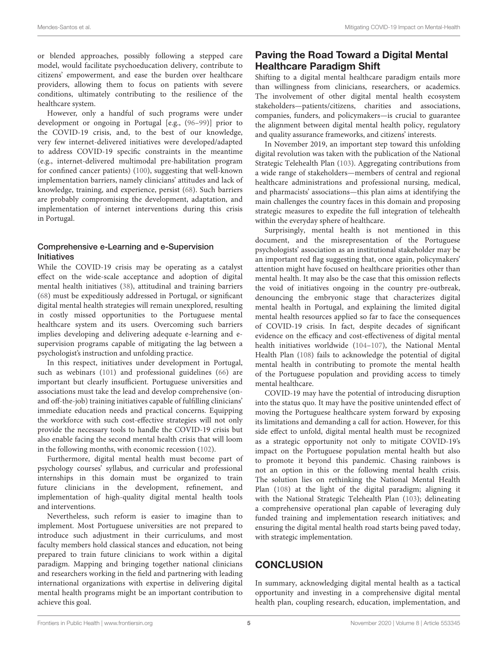or blended approaches, possibly following a stepped care model, would facilitate psychoeducation delivery, contribute to citizens' empowerment, and ease the burden over healthcare providers, allowing them to focus on patients with severe conditions, ultimately contributing to the resilience of the healthcare system.

However, only a handful of such programs were under development or ongoing in Portugal [e.g., [\(96](#page-7-15)[–99\)](#page-7-16)] prior to the COVID-19 crisis, and, to the best of our knowledge, very few internet-delivered initiatives were developed/adapted to address COVID-19 specific constraints in the meantime (e.g., internet-delivered multimodal pre-habilitation program for confined cancer patients) [\(100\)](#page-7-17), suggesting that well-known implementation barriers, namely clinicians' attitudes and lack of knowledge, training, and experience, persist [\(68\)](#page-6-37). Such barriers are probably compromising the development, adaptation, and implementation of internet interventions during this crisis in Portugal.

#### Comprehensive e-Learning and e-Supervision Initiatives

While the COVID-19 crisis may be operating as a catalyst effect on the wide-scale acceptance and adoption of digital mental health initiatives [\(38\)](#page-6-7), attitudinal and training barriers [\(68\)](#page-6-37) must be expeditiously addressed in Portugal, or significant digital mental health strategies will remain unexplored, resulting in costly missed opportunities to the Portuguese mental healthcare system and its users. Overcoming such barriers implies developing and delivering adequate e-learning and esupervision programs capable of mitigating the lag between a psychologist's instruction and unfolding practice.

In this respect, initiatives under development in Portugal, such as webinars [\(101\)](#page-7-18) and professional guidelines [\(66\)](#page-6-35) are important but clearly insufficient. Portuguese universities and associations must take the lead and develop comprehensive (onand off-the-job) training initiatives capable of fulfilling clinicians' immediate education needs and practical concerns. Equipping the workforce with such cost-effective strategies will not only provide the necessary tools to handle the COVID-19 crisis but also enable facing the second mental health crisis that will loom in the following months, with economic recession [\(102\)](#page-7-19).

Furthermore, digital mental health must become part of psychology courses' syllabus, and curricular and professional internships in this domain must be organized to train future clinicians in the development, refinement, and implementation of high-quality digital mental health tools and interventions.

Nevertheless, such reform is easier to imagine than to implement. Most Portuguese universities are not prepared to introduce such adjustment in their curriculums, and most faculty members hold classical stances and education, not being prepared to train future clinicians to work within a digital paradigm. Mapping and bringing together national clinicians and researchers working in the field and partnering with leading international organizations with expertise in delivering digital mental health programs might be an important contribution to achieve this goal.

# Paving the Road Toward a Digital Mental Healthcare Paradigm Shift

Shifting to a digital mental healthcare paradigm entails more than willingness from clinicians, researchers, or academics. The involvement of other digital mental health ecosystem stakeholders—patients/citizens, charities and associations, companies, funders, and policymakers—is crucial to guarantee the alignment between digital mental health policy, regulatory and quality assurance frameworks, and citizens' interests.

In November 2019, an important step toward this unfolding digital revolution was taken with the publication of the National Strategic Telehealth Plan [\(103\)](#page-7-20). Aggregating contributions from a wide range of stakeholders—members of central and regional healthcare administrations and professional nursing, medical, and pharmacists' associations—this plan aims at identifying the main challenges the country faces in this domain and proposing strategic measures to expedite the full integration of telehealth within the everyday sphere of healthcare.

Surprisingly, mental health is not mentioned in this document, and the misrepresentation of the Portuguese psychologists' association as an institutional stakeholder may be an important red flag suggesting that, once again, policymakers' attention might have focused on healthcare priorities other than mental health. It may also be the case that this omission reflects the void of initiatives ongoing in the country pre-outbreak, denouncing the embryonic stage that characterizes digital mental health in Portugal, and explaining the limited digital mental health resources applied so far to face the consequences of COVID-19 crisis. In fact, despite decades of significant evidence on the efficacy and cost-effectiveness of digital mental health initiatives worldwide [\(104–](#page-7-21)[107\)](#page-7-22), the National Mental Health Plan [\(108\)](#page-7-23) fails to acknowledge the potential of digital mental health in contributing to promote the mental health of the Portuguese population and providing access to timely mental healthcare.

COVID-19 may have the potential of introducing disruption into the status quo. It may have the positive unintended effect of moving the Portuguese healthcare system forward by exposing its limitations and demanding a call for action. However, for this side effect to unfold, digital mental health must be recognized as a strategic opportunity not only to mitigate COVID-19's impact on the Portuguese population mental health but also to promote it beyond this pandemic. Chasing rainbows is not an option in this or the following mental health crisis. The solution lies on rethinking the National Mental Health Plan [\(108\)](#page-7-23) at the light of the digital paradigm; aligning it with the National Strategic Telehealth Plan [\(103\)](#page-7-20); delineating a comprehensive operational plan capable of leveraging duly funded training and implementation research initiatives; and ensuring the digital mental health road starts being paved today, with strategic implementation.

# **CONCLUSION**

In summary, acknowledging digital mental health as a tactical opportunity and investing in a comprehensive digital mental health plan, coupling research, education, implementation, and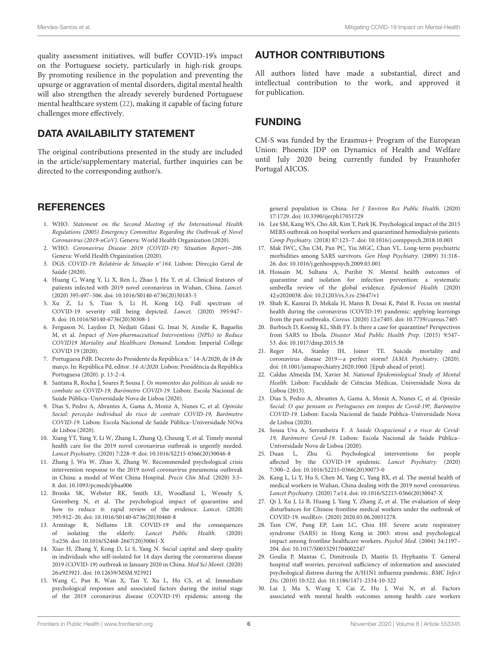quality assessment initiatives, will buffer COVID-19's impact on the Portuguese society, particularly in high-risk groups. By promoting resilience in the population and preventing the upsurge or aggravation of mental disorders, digital mental health will also strengthen the already severely burdened Portuguese mental healthcare system [\(22\)](#page-5-21), making it capable of facing future challenges more effectively.

# DATA AVAILABILITY STATEMENT

The original contributions presented in the study are included in the article/supplementary material, further inquiries can be directed to the corresponding author/s.

### **REFERENCES**

- <span id="page-5-0"></span>1. WHO. Statement on the Second Meeting of the International Health Regulations (2005) Emergency Committee Regarding the Outbreak of Novel Coronavirus (2019-nCoV). Geneva: World Health Organization (2020).
- <span id="page-5-1"></span>2. WHO. Coronavirus Disease 2019 (COVID-19): Situation Report−206. Geneva: World Health Organization (2020).
- <span id="page-5-2"></span>3. DGS. COVID-19: Relatório de Situação nº 164. Lisbon: Direcção Geral de Saúde (2020).
- <span id="page-5-3"></span>4. Huang C, Wang Y, Li X, Ren L, Zhao J, Hu Y, et al. Clinical features of patients infected with 2019 novel coronavirus in Wuhan, China. Lancet. (2020) 395:497–506. doi: [10.1016/S0140-6736\(20\)30183-5](https://doi.org/10.1016/S0140-6736(20)30183-5)
- <span id="page-5-4"></span>5. Xu Z, Li S, Tian S, Li H, Kong LQ. Full spectrum of COVID-19 severity still being depicted. Lancet. (2020) 395:947– 8. doi: [10.1016/S0140-6736\(20\)30308-1](https://doi.org/10.1016/S0140-6736(20)30308-1)
- <span id="page-5-5"></span>6. Ferguson N, Laydon D, Nedjati Gilani G, Imai N, Ainslie K, Baguelin M, et al. Impact of Non-pharmaceutical Interventions (NPIs) to Reduce COVID19 Mortality and Healthcare Demand. London: Imperial College COVID 19 (2020).
- <span id="page-5-6"></span>7. Portuguesa PdR. Decreto do Presidente da República n.◦ 14-A/2020, de 18 de março. In: República Pd, editor. 14-A/2020. Lisbon: Presidência da República Portuguesa (2020). p. 13-2–4.
- <span id="page-5-7"></span>8. Santana R, Rocha J, Soares P, Sousa J. Os momentos das políticas de saúde no combate ao COVID-19, Barómetro COVID-19. Lisbon: Escola Nacional de Saúde Pública–Universidade Nova de Lisboa (2020).
- <span id="page-5-8"></span>9. Dias S, Pedro A, Abrantes A, Gama A, Moniz A, Nunes C, et al. Opinião Social: perceção individual do risco de contrair COVID-19, Barómetro COVID-19. Lisbon: Escola Nacional de Saúde Pública–Universidade NOva de Lisboa (2020).
- <span id="page-5-9"></span>10. Xiang YT, Yang Y, Li W, Zhang L, Zhang Q, Cheung T, et al. Timely mental health care for the 2019 novel coronavirus outbreak is urgently needed. Lancet Psychiatry. (2020) 7:228–9. doi: [10.1016/S2215-0366\(20\)30046-8](https://doi.org/10.1016/S2215-0366(20)30046-8)
- <span id="page-5-10"></span>11. Zhang J, Wu W, Zhao X, Zhang W. Recommended psychological crisis intervention response to the 2019 novel coronavirus pneumonia outbreak in China: a model of West China Hospital. Precis Clin Med. (2020) 3:3– 8. doi: [10.1093/pcmedi/pbaa006](https://doi.org/10.1093/pcmedi/pbaa006)
- <span id="page-5-11"></span>12. Brooks SK, Webster RK, Smith LE, Woodland L, Wessely S, Greenberg N, et al. The psychological impact of quarantine and how to reduce it: rapid review of the evidence. Lancet. (2020) 395:912–20. doi: [10.1016/S0140-6736\(20\)30460-8](https://doi.org/10.1016/S0140-6736(20)30460-8)
- <span id="page-5-12"></span>13. Armitage R, Nellums LB. COVID-19 and the consequences of isolating the elderly. Lancet Public Health. (2020) 5:e256. doi: [10.1016/S2468-2667\(20\)30061-X](https://doi.org/10.1016/S2468-2667(20)30061-X)
- <span id="page-5-13"></span>14. Xiao H, Zhang Y, Kong D, Li S, Yang N. Social capital and sleep quality in individuals who self-isolated for 14 days during the coronavirus disease 2019 (COVID-19) outbreak in January 2020 in China. Med Sci Monit. (2020) 26:e923921. doi: [10.12659/MSM.923921](https://doi.org/10.12659/MSM.923921)
- <span id="page-5-14"></span>15. Wang C, Pan R, Wan X, Tan Y, Xu L, Ho CS, et al. Immediate psychological responses and associated factors during the initial stage of the 2019 coronavirus disease (COVID-19) epidemic among the

## AUTHOR CONTRIBUTIONS

All authors listed have made a substantial, direct and intellectual contribution to the work, and approved it for publication.

# FUNDING

CM-S was funded by the Erasmus+ Program of the European Union: Phoenix JDP on Dynamics of Health and Welfare until July 2020 being currently funded by Fraunhofer Portugal AICOS.

general population in China. Int J Environ Res Public Health. (2020) 17:1729. doi: [10.3390/ijerph17051729](https://doi.org/10.3390/ijerph17051729)

- <span id="page-5-15"></span>16. Lee SM, Kang WS, Cho AR, Kim T, Park JK. Psychological impact of the 2015 MERS outbreak on hospital workers and quarantined hemodialysis patients. Comp Psychiatry. (2018) 87:123–7. doi: [10.1016/j.comppsych.2018.10.003](https://doi.org/10.1016/j.comppsych.2018.10.003)
- <span id="page-5-16"></span>17. Mak IWC, Chu CM, Pan PC, Yiu MGC, Chan VL. Long-term psychiatric morbidities among SARS survivors. Gen Hosp Psychiatry. (2009) 31:318– 26. doi: [10.1016/j.genhosppsych.2009.03.001](https://doi.org/10.1016/j.genhosppsych.2009.03.001)
- <span id="page-5-17"></span>18. Hossain M, Sultana A, Purihit N. Mental health outcomes of quarantine and isolation for infection prevention: a systematic umbrella review of the global evidence. Epidemiol Health. (2020) 42:e2020038. doi: [10.21203/rs.3.rs-25647/v1](https://doi.org/10.21203/rs.3.rs-25647/v1)
- <span id="page-5-18"></span>19. Shah K, Kamrai D, Mekala H, Mann B, Desai K, Patel R. Focus on mental health during the coronavirus (COVID-19) pandemic: applying learnings from the past outbreaks. Cureus. (2020) 12:e7405. doi: [10.7759/cureus.7405](https://doi.org/10.7759/cureus.7405)
- <span id="page-5-19"></span>20. Barbisch D, Koenig KL, Shih FY. Is there a case for quarantine? Perspectives from SARS to Ebola. Disaster Med Public Health Prep. (2015) 9:547– 53. doi: [10.1017/dmp.2015.38](https://doi.org/10.1017/dmp.2015.38)
- <span id="page-5-20"></span>21. Reger MA, Stanley IH, Joiner TE. Suicide mortality and coronavirus disease 2019—a perfect storm? JAMA Psychiatry. (2020). doi: [10.1001/jamapsychiatry.2020.1060.](https://doi.org/10.1001/jamapsychiatry.2020.1060) [Epub ahead of print].
- <span id="page-5-21"></span>22. Caldas Almeida JM, Xavier M. National Epidemiological Study of Mental Health. Lisbon: Faculdade de Ciências Médicas, Universidade Nova de Lisboa (2013).
- <span id="page-5-22"></span>23. Dias S, Pedro A, Abrantes A, Gama A, Moniz A, Nunes C, et al. Opinião Social: O que pensam os Portugueses em tempos de Covid-19?, Barómetro COVID-19. Lisbon: Escola Nacional de Saúde Pública–Universidade Nova de Lisboa (2020).
- <span id="page-5-23"></span>24. Sousa Uva A, Serranheira F. A Saúde Ocupacional e o risco de Covid-19, Barómetro Covid-19. Lisbon: Escola Nacional de Saúde Pública– Universidade Nova de Lisboa (2020).
- <span id="page-5-24"></span>25. Duan L, Zhu G. Psychological interventions for people affected by the COVID-19 epidemic. Lancet Psychiatry. (2020) 7:300–2. doi: [10.1016/S2215-0366\(20\)30073-0](https://doi.org/10.1016/S2215-0366(20)30073-0)
- <span id="page-5-25"></span>26. Kang L, Li Y, Hu S, Chen M, Yang C, Yang BX, et al. The mental health of medical workers in Wuhan, China dealing with the 2019 novel coronavirus. Lancet Psychiatry. (2020) 7:e14. doi: [10.1016/S2215-0366\(20\)30047-X](https://doi.org/10.1016/S2215-0366(20)30047-X)
- <span id="page-5-26"></span>27. Qi J, Xu J, Li B, Huang J, Yang Y, Zhang Z, et al. The evaluation of sleep disturbances for Chinese frontline medical workers under the outbreak of COVID-19. medRxiv. (2020) 2020.03.06.20031278.
- 28. Tam CW, Pang EP, Lam LC, Chiu HF. Severe acute respiratory syndrome (SARS) in Hong Kong in 2003: stress and psychological impact among frontline healthcare workers. Psychol Med. (2004) 34:1197– 204. doi: [10.1017/S0033291704002247](https://doi.org/10.1017/S0033291704002247)
- 29. Goulia P, Mantas C, Dimitroula D, Mantis D, Hyphantis T. General hospital staff worries, perceived sufficiency of information and associated psychological distress during the A/H1N1 influenza pandemic. BMC Infect Dis. (2010) 10:322. doi: [10.1186/1471-2334-10-322](https://doi.org/10.1186/1471-2334-10-322)
- 30. Lai J, Ma S, Wang Y, Cai Z, Hu J, Wei N, et al. Factors associated with mental health outcomes among health care workers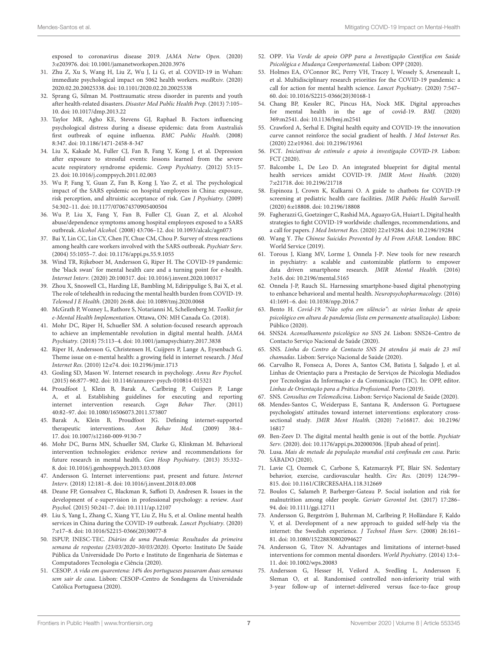exposed to coronavirus disease 2019. JAMA Netw Open. (2020) 3:e203976. doi: [10.1001/jamanetworkopen.2020.3976](https://doi.org/10.1001/jamanetworkopen.2020.3976)

- <span id="page-6-0"></span>31. Zhu Z, Xu S, Wang H, Liu Z, Wu J, Li G, et al. COVID-19 in Wuhan: immediate psychological impact on 5062 health workers. medRxiv. (2020) 2020.02.20.20025338. doi: [10.1101/2020.02.20.20025338](https://doi.org/10.1101/2020.02.20.20025338)
- <span id="page-6-1"></span>32. Sprang G, Silman M. Posttraumatic stress disorder in parents and youth after health-related disasters. Disaster Med Public Health Prep. (2013) 7:105– 10. doi: [10.1017/dmp.2013.22](https://doi.org/10.1017/dmp.2013.22)
- <span id="page-6-2"></span>33. Taylor MR, Agho KE, Stevens GJ, Raphael B. Factors influencing psychological distress during a disease epidemic: data from Australia's first outbreak of equine influenza. BMC Public Health. (2008) 8:347. doi: [10.1186/1471-2458-8-347](https://doi.org/10.1186/1471-2458-8-347)
- <span id="page-6-3"></span>34. Liu X, Kakade M, Fuller CJ, Fan B, Fang Y, Kong J, et al. Depression after exposure to stressful events: lessons learned from the severe acute respiratory syndrome epidemic. Comp Psychiatry. (2012) 53:15– 23. doi: [10.1016/j.comppsych.2011.02.003](https://doi.org/10.1016/j.comppsych.2011.02.003)
- <span id="page-6-4"></span>35. Wu P, Fang Y, Guan Z, Fan B, Kong J, Yao Z, et al. The psychological impact of the SARS epidemic on hospital employees in China: exposure, risk perception, and altruistic acceptance of risk. Can J Psychiatry. (2009) 54:302–11. doi: [10.1177/070674370905400504](https://doi.org/10.1177/070674370905400504)
- <span id="page-6-5"></span>36. Wu P, Liu X, Fang Y, Fan B, Fuller CJ, Guan Z, et al. Alcohol abuse/dependence symptoms among hospital employees exposed to a SARS outbreak. Alcohol Alcohol. (2008) 43:706–12. doi: [10.1093/alcalc/agn073](https://doi.org/10.1093/alcalc/agn073)
- <span id="page-6-6"></span>37. Bai Y, Lin CC, Lin CY, Chen JY, Chue CM, Chou P. Survey of stress reactions among health care workers involved with the SARS outbreak. Psychiatr Serv. (2004) 55:1055–7. doi: [10.1176/appi.ps.55.9.1055](https://doi.org/10.1176/appi.ps.55.9.1055)
- <span id="page-6-7"></span>38. Wind TR, Rijkeboer M, Andersson G, Riper H. The COVID-19 pandemic: the 'black swan' for mental health care and a turning point for e-health. Internet Interv. (2020) 20:100317. doi: [10.1016/j.invent.2020.100317](https://doi.org/10.1016/j.invent.2020.100317)
- <span id="page-6-8"></span>39. Zhou X, Snoswell CL, Harding LE, Bambling M, Edirippulige S, Bai X, et al. The role of telehealth in reducing the mental health burden from COVID-19. Telemed J E Health. (2020) 26:68. doi: [10.1089/tmj.2020.0068](https://doi.org/10.1089/tmj.2020.0068)
- <span id="page-6-9"></span>40. McGrath P, Wozney L, Rathore S, Notarianni M, Schellenberg M. Toolkit for e-Mental Health Implementation. Ottawa, ON: MH Canada Co. (2018).
- <span id="page-6-10"></span>41. Mohr DC, Riper H, Schueller SM. A solution-focused research approach to achieve an implementable revolution in digital mental health. JAMA Psychiatry. (2018) 75:113–4. doi: [10.1001/jamapsychiatry.2017.3838](https://doi.org/10.1001/jamapsychiatry.2017.3838)
- <span id="page-6-11"></span>42. Riper H, Andersson G, Christensen H, Cuijpers P, Lange A, Eysenbach G. Theme issue on e-mental health: a growing field in internet research. J Med Internet Res. (2010) 12:e74. doi: [10.2196/jmir.1713](https://doi.org/10.2196/jmir.1713)
- <span id="page-6-12"></span>43. Gosling SD, Mason W. Internet research in psychology. Annu Rev Psychol. (2015) 66:877–902. doi: [10.1146/annurev-psych-010814-015321](https://doi.org/10.1146/annurev-psych-010814-015321)
- <span id="page-6-13"></span>44. Proudfoot J, Klein B, Barak A, Carlbring P, Cuijpers P, Lange A, et al. Establishing guidelines for executing and reporting internet intervention research. Cogn Behav Ther. (2011) 40:82–97. doi: [10.1080/16506073.2011.573807](https://doi.org/10.1080/16506073.2011.573807)
- <span id="page-6-14"></span>45. Barak A, Klein B, Proudfoot JG. Defining internet-supported therapeutic interventions. Ann Behav Med. (2009) 38:4– 17. doi: [10.1007/s12160-009-9130-7](https://doi.org/10.1007/s12160-009-9130-7)
- <span id="page-6-15"></span>46. Mohr DC, Burns MN, Schueller SM, Clarke G, Klinkman M. Behavioral intervention technologies: evidence review and recommendations for future research in mental health. Gen Hosp Psychiatry. (2013) 35:332– 8. doi: [10.1016/j.genhosppsych.2013.03.008](https://doi.org/10.1016/j.genhosppsych.2013.03.008)
- <span id="page-6-16"></span>47. Andersson G. Internet interventions: past, present and future. Internet Interv. (2018) 12:181–8. doi: [10.1016/j.invent.2018.03.008](https://doi.org/10.1016/j.invent.2018.03.008)
- <span id="page-6-17"></span>48. Deane FP, Gonsalvez C, Blackman R, Saffioti D, Andresen R. Issues in the development of e-supervision in professional psychology: a review. Aust Psychol. (2015) 50:241–7. doi: [10.1111/ap.12107](https://doi.org/10.1111/ap.12107)
- <span id="page-6-18"></span>49. Liu S, Yang L, Zhang C, Xiang YT, Liu Z, Hu S, et al. Online mental health services in China during the COVID-19 outbreak. Lancet Psychiatry. (2020) 7:e17–8. doi: [10.1016/S2215-0366\(20\)30077-8](https://doi.org/10.1016/S2215-0366(20)30077-8)
- <span id="page-6-19"></span>50. ISPUP, INESC-TEC. Diários de uma Pandemia: Resultados da primeira semana de respostas (23/03/2020–30/03/2020). Oporto: Instituto De Saúde Pública da Universidade Do Porto e Instituto de Engenharia de Sistemas e Computadores Tecnologia e Ciência (2020).
- <span id="page-6-20"></span>51. CESOP. A vida em quarentena: 14% dos portugueses passaram duas semanas sem sair de casa. Lisbon: CESOP–Centro de Sondagens da Universidade Católica Portuguesa (2020).
- <span id="page-6-21"></span>52. OPP. Via Verde de apoio OPP para a Investigação Científica em Saúde Psicológica e Mudança Comportamental. Lisbon: OPP (2020).
- <span id="page-6-22"></span>53. Holmes EA, O'Connor RC, Perry VH, Tracey I, Wessely S, Arseneault L, et al. Multidisciplinary research priorities for the COVID-19 pandemic: a call for action for mental health science. Lancet Psychiatry. (2020) 7:547– 60. doi: [10.1016/S2215-0366\(20\)30168-1](https://doi.org/10.1016/S2215-0366(20)30168-1)
- <span id="page-6-23"></span>54. Chang BP, Kessler RC, Pincus HA, Nock MK. Digital approaches for mental health in the age of covid-19. BMJ. (2020) 369:m2541. doi: [10.1136/bmj.m2541](https://doi.org/10.1136/bmj.m2541)
- <span id="page-6-24"></span>55. Crawford A, Serhal E. Digital health equity and COVID-19: the innovation curve cannot reinforce the social gradient of health. J Med Internet Res. (2020) 22:e19361. doi: [10.2196/19361](https://doi.org/10.2196/19361)
- <span id="page-6-25"></span>56. FCT. Iniciativas de estímulo e apoio à investigação COVID-19. Lisbon: FCT (2020).
- <span id="page-6-26"></span>57. Balcombe L, De Leo D. An integrated blueprint for digital mental health services amidst COVID-19. JMIR Ment Health. (2020) 7:e21718. doi: [10.2196/21718](https://doi.org/10.2196/21718)
- <span id="page-6-27"></span>58. Espinoza J, Crown K, Kulkarni O. A guide to chatbots for COVID-19 screening at pediatric health care facilities. JMIR Public Health Surveill. (2020) 6:e18808. doi: [10.2196/18808](https://doi.org/10.2196/18808)
- <span id="page-6-28"></span>59. Fagherazzi G, Goetzinger C, Rashid MA, Aguayo GA, Huiart L. Digital health strategies to fight COVID-19 worldwide: challenges, recommendations, and a call for papers. J Med Internet Res. (2020) 22:e19284. doi: [10.2196/19284](https://doi.org/10.2196/19284)
- <span id="page-6-29"></span>60. Wang Y. The Chinese Suicides Prevented by AI From AFAR. London: BBC World Service (2019).
- <span id="page-6-30"></span>61. Torous J, Kiang MV, Lorme J, Onnela J-P. New tools for new research in psychiatry: a scalable and customizable platform to empower data driven smartphone research. JMIR Mental Health. (2016) 3:e16. doi: [10.2196/mental.5165](https://doi.org/10.2196/mental.5165)
- <span id="page-6-31"></span>62. Onnela J-P, Rauch SL. Harnessing smartphone-based digital phenotyping to enhance behavioral and mental health. Neuropsychopharmacology. (2016) 41:1691–6. doi: [10.1038/npp.2016.7](https://doi.org/10.1038/npp.2016.7)
- <span id="page-6-32"></span>63. Bento H. Covid-19. "Não sofra em silêncio": as várias linhas de apoio psicológico em altura de pandemia (lista em permanente atualização). Lisbon: Público (2020).
- <span id="page-6-33"></span>64. SNS24. Aconselhamento psicológico no SNS 24. Lisbon: SNS24–Centro de Contacto Serviço Nacional de Saúde (2020).
- <span id="page-6-34"></span>65. SNS. Linha do Centro de Contacto SNS 24 atendeu já mais de 23 mil chamadas. Lisbon: Serviço Nacional de Saúde (2020).
- <span id="page-6-35"></span>66. Carvalho R, Fonseca A, Dores A, Santos CM, Batista J, Salgado J, et al. Linhas de Orientação para a Prestação de Serviços de Psicologia Mediados por Tecnologias da Informação e da Comunicação (TIC). In: OPP, editor. Linhas de Orientação para a Prática Profissional. Porto (2019).
- <span id="page-6-36"></span>67. SNS. Consultas em Telemedicina. Lisbon: Serviço Nacional de Saúde (2020).
- <span id="page-6-37"></span>68. Mendes-Santos C, Weiderpass E, Santana R, Andersson G. Portuguese psychologists' attitudes toward internet interventions: exploratory crosssectional study. JMIR Ment Health. [\(2020\) 7:e16817. doi: 10.2196/](https://doi.org/10.2196/16817) 16817
- <span id="page-6-38"></span>69. Ben-Zeev D. The digital mental health genie is out of the bottle. Psychiatr Serv. (2020). doi: [10.1176/appi.ps.202000306.](https://doi.org/10.1176/appi.ps.202000306) [Epub ahead of print].
- <span id="page-6-39"></span>70. Lusa. Mais de metade da população mundial está confinada em casa. Paris: SÁBADO (2020).
- <span id="page-6-40"></span>71. Lavie CJ, Ozemek C, Carbone S, Katzmarzyk PT, Blair SN. Sedentary behavior, exercise, cardiovascular health. Circ Res. (2019) 124:799– 815. doi: [10.1161/CIRCRESAHA.118.312669](https://doi.org/10.1161/CIRCRESAHA.118.312669)
- <span id="page-6-41"></span>72. Boulos C, Salameh P, Barberger-Gateau P. Social isolation and risk for malnutrition among older people. Geriatr Gerontol Int. (2017) 17:286– 94. doi: [10.1111/ggi.12711](https://doi.org/10.1111/ggi.12711)
- <span id="page-6-42"></span>73. Andersson G, Bergström J, Buhrman M, Carlbring P, Holländare F, Kaldo V, et al. Development of a new approach to guided self-help via the internet: the Swedish experience. J Technol Hum Serv. (2008) 26:161– 81. doi: [10.1080/15228830802094627](https://doi.org/10.1080/15228830802094627)
- <span id="page-6-43"></span>74. Andersson G, Titov N. Advantages and limitations of internet-based interventions for common mental disorders. World Psychiatry. (2014) 13:4– 11. doi: [10.1002/wps.20083](https://doi.org/10.1002/wps.20083)
- <span id="page-6-44"></span>75. Andersson G, Hesser H, Veilord A, Svedling L, Andersson F, Sleman O, et al. Randomised controlled non-inferiority trial with 3-year follow-up of internet-delivered versus face-to-face group